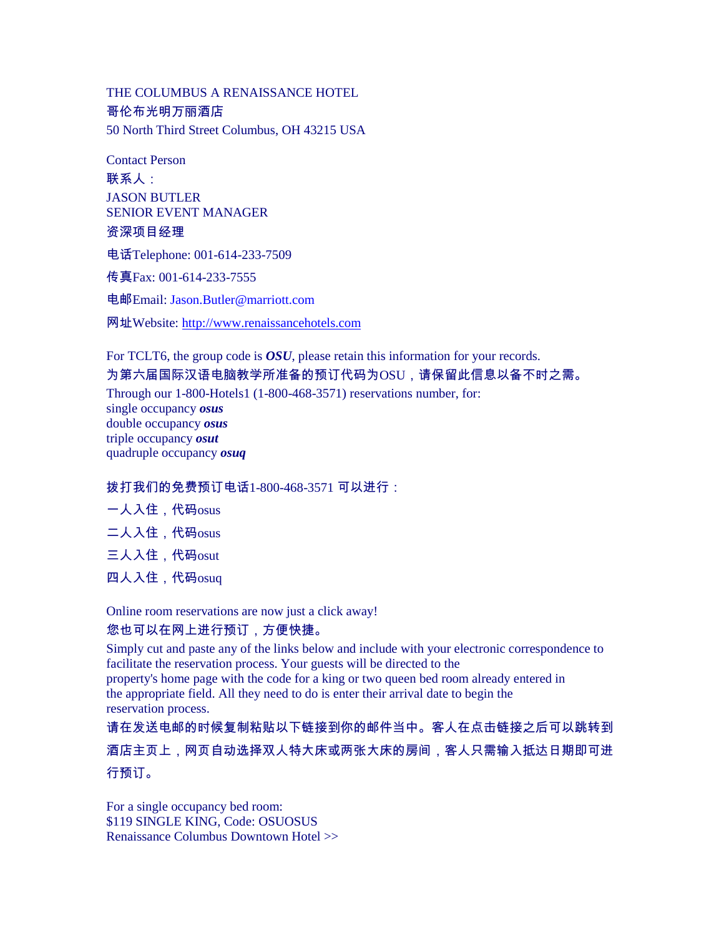THE COLUMBUS A RENAISSANCE HOTEL 哥伦布光明万丽酒店 50 North Third Street Columbus, OH 43215 USA

Contact Person 联系人: JASON BUTLER SENIOR EVENT MANAGER 资深项目经理

电话Telephone: 001-614-233-7509

传真Fax: 001-614-233-7555

电邮Email: Jason.Butler@marriott.com

网址Website: http://www.renaissancehotels.com

For TCLT6, the group code is *OSU*, please retain this information for your records. 为第六届国际汉语电脑教学所准备的预订代码为OSU,请保留此信息以备不时之需。 Through our 1-800-Hotels1 (1-800-468-3571) reservations number, for: single occupancy *osus*  double occupancy *osus*  triple occupancy *osut*  quadruple occupancy *osuq* 

## 拨打我们的免费预订电话1-800-468-3571 可以进行:

|  | 人入住,代码osus |
|--|------------|
|--|------------|

- 二人入住,代码osus
- 三人入住,代码osut
- 四人入住,代码osuq

Online room reservations are now just a click away!

## 您也可以在网上进行预订,方便快捷。

Simply cut and paste any of the links below and include with your electronic correspondence to facilitate the reservation process. Your guests will be directed to the property's home page with the code for a king or two queen bed room already entered in the appropriate field. All they need to do is enter their arrival date to begin the reservation process.

请在发送电邮的时候复制粘贴以下链接到你的邮件当中。客人在点击链接之后可以跳转到 酒店主页上,网页自动选择双人特大床或两张大床的房间,客人只需输入抵达日期即可进 行预订。

For a single occupancy bed room: \$119 SINGLE KING, Code: OSUOSUS Renaissance Columbus Downtown Hotel >>